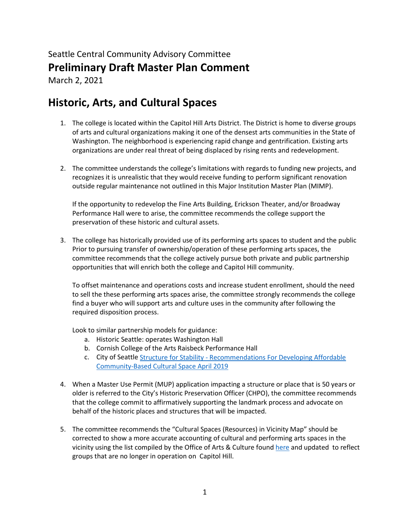# Seattle Central Community Advisory Committee **Preliminary Draft Master Plan Comment**

March 2, 2021

## **Historic, Arts, and Cultural Spaces**

- 1. The college is located within the Capitol Hill Arts District. The District is home to diverse groups of arts and cultural organizations making it one of the densest arts communities in the State of Washington. The neighborhood is experiencing rapid change and gentrification. Existing arts organizations are under real threat of being displaced by rising rents and redevelopment.
- 2. The committee understands the college's limitations with regards to funding new projects, and recognizes it is unrealistic that they would receive funding to perform significant renovation outside regular maintenance not outlined in this Major Institution Master Plan (MIMP).

If the opportunity to redevelop the Fine Arts Building, Erickson Theater, and/or Broadway Performance Hall were to arise, the committee recommends the college support the preservation of these historic and cultural assets.

3. The college has historically provided use of its performing arts spaces to student and the public Prior to pursuing transfer of ownership/operation of these performing arts spaces, the committee recommends that the college actively pursue both private and public partnership opportunities that will enrich both the college and Capitol Hill community.

To offset maintenance and operations costs and increase student enrollment, should the need to sell the these performing arts spaces arise, the committee strongly recommends the college find a buyer who will support arts and culture uses in the community after following the required disposition process.

Look to similar partnership models for guidance:

- a. Historic Seattle: operates Washington Hall
- b. Cornish College of the Arts Raisbeck Performance Hall
- c. City of Seattle Structure for Stability [Recommendations For Developing Affordable](http://www.seattle.gov/Documents/Departments/Arts/Downloads/Reports/DRAFT%20Structure%20for%20Stability%20Apr%2022%20DRAFT.pdf)  [Community-Based Cultural Space April 2019](http://www.seattle.gov/Documents/Departments/Arts/Downloads/Reports/DRAFT%20Structure%20for%20Stability%20Apr%2022%20DRAFT.pdf)
- 4. When a Master Use Permit (MUP) application impacting a structure or place that is 50 years or older is referred to the City's Historic Preservation Officer (CHPO), the committee recommends that the college commit to affirmatively supporting the landmark process and advocate on behalf of the historic places and structures that will be impacted.
- 5. The committee recommends the "Cultural Spaces (Resources) in Vicinity Map" should be corrected to show a more accurate accounting of cultural and performing arts spaces in the vicinity using the list compiled by the Office of Arts & Culture foun[d here](https://www.seattle.gov/Documents/Departments/Arts/Downloads/Space/Arts-and-Cultural-Organizations-in-the-Capitol-Hill-Arts-District.pdf) and updated to reflect groups that are no longer in operation on Capitol Hill.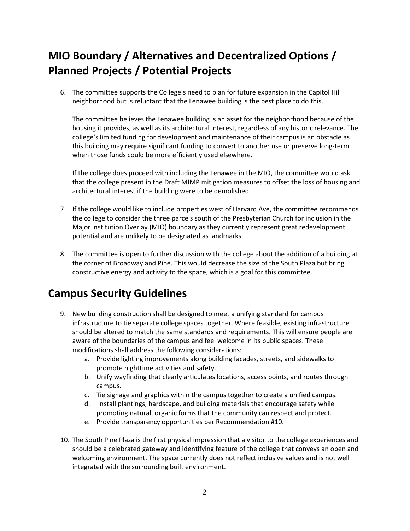# **MIO Boundary / Alternatives and Decentralized Options / Planned Projects / Potential Projects**

6. The committee supports the College's need to plan for future expansion in the Capitol Hill neighborhood but is reluctant that the Lenawee building is the best place to do this.

The committee believes the Lenawee building is an asset for the neighborhood because of the housing it provides, as well as its architectural interest, regardless of any historic relevance. The college's limited funding for development and maintenance of their campus is an obstacle as this building may require significant funding to convert to another use or preserve long-term when those funds could be more efficiently used elsewhere.

If the college does proceed with including the Lenawee in the MIO, the committee would ask that the college present in the Draft MIMP mitigation measures to offset the loss of housing and architectural interest if the building were to be demolished.

- 7. If the college would like to include properties west of Harvard Ave, the committee recommends the college to consider the three parcels south of the Presbyterian Church for inclusion in the Major Institution Overlay (MIO) boundary as they currently represent great redevelopment potential and are unlikely to be designated as landmarks.
- 8. The committee is open to further discussion with the college about the addition of a building at the corner of Broadway and Pine. This would decrease the size of the South Plaza but bring constructive energy and activity to the space, which is a goal for this committee.

## **Campus Security Guidelines**

- 9. New building construction shall be designed to meet a unifying standard for campus infrastructure to tie separate college spaces together. Where feasible, existing infrastructure should be altered to match the same standards and requirements. This will ensure people are aware of the boundaries of the campus and feel welcome in its public spaces. These modifications shall address the following considerations:
	- a. Provide lighting improvements along building facades, streets, and sidewalks to promote nighttime activities and safety.
	- b. Unify wayfinding that clearly articulates locations, access points, and routes through campus.
	- c. Tie signage and graphics within the campus together to create a unified campus.
	- d. Install plantings, hardscape, and building materials that encourage safety while promoting natural, organic forms that the community can respect and protect.
	- e. Provide transparency opportunities per Recommendation #10.
- 10. The South Pine Plaza is the first physical impression that a visitor to the college experiences and should be a celebrated gateway and identifying feature of the college that conveys an open and welcoming environment. The space currently does not reflect inclusive values and is not well integrated with the surrounding built environment.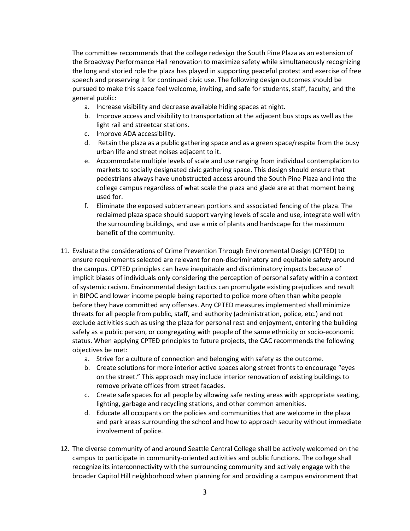The committee recommends that the college redesign the South Pine Plaza as an extension of the Broadway Performance Hall renovation to maximize safety while simultaneously recognizing the long and storied role the plaza has played in supporting peaceful protest and exercise of free speech and preserving it for continued civic use. The following design outcomes should be pursued to make this space feel welcome, inviting, and safe for students, staff, faculty, and the general public:

- a. Increase visibility and decrease available hiding spaces at night.
- b. Improve access and visibility to transportation at the adjacent bus stops as well as the light rail and streetcar stations.
- c. Improve ADA accessibility.
- d. Retain the plaza as a public gathering space and as a green space/respite from the busy urban life and street noises adjacent to it.
- e. Accommodate multiple levels of scale and use ranging from individual contemplation to markets to socially designated civic gathering space. This design should ensure that pedestrians always have unobstructed access around the South Pine Plaza and into the college campus regardless of what scale the plaza and glade are at that moment being used for.
- f. Eliminate the exposed subterranean portions and associated fencing of the plaza. The reclaimed plaza space should support varying levels of scale and use, integrate well with the surrounding buildings, and use a mix of plants and hardscape for the maximum benefit of the community.
- 11. Evaluate the considerations of Crime Prevention Through Environmental Design (CPTED) to ensure requirements selected are relevant for non-discriminatory and equitable safety around the campus. CPTED principles can have inequitable and discriminatory impacts because of implicit biases of individuals only considering the perception of personal safety within a context of systemic racism. Environmental design tactics can promulgate existing prejudices and result in BIPOC and lower income people being reported to police more often than white people before they have committed any offenses. Any CPTED measures implemented shall minimize threats for all people from public, staff, and authority (administration, police, etc.) and not exclude activities such as using the plaza for personal rest and enjoyment, entering the building safely as a public person, or congregating with people of the same ethnicity or socio-economic status. When applying CPTED principles to future projects, the CAC recommends the following objectives be met:
	- a. Strive for a culture of connection and belonging with safety as the outcome.
	- b. Create solutions for more interior active spaces along street fronts to encourage "eyes on the street." This approach may include interior renovation of existing buildings to remove private offices from street facades.
	- c. Create safe spaces for all people by allowing safe resting areas with appropriate seating, lighting, garbage and recycling stations, and other common amenities.
	- d. Educate all occupants on the policies and communities that are welcome in the plaza and park areas surrounding the school and how to approach security without immediate involvement of police.
- 12. The diverse community of and around Seattle Central College shall be actively welcomed on the campus to participate in community-oriented activities and public functions. The college shall recognize its interconnectivity with the surrounding community and actively engage with the broader Capitol Hill neighborhood when planning for and providing a campus environment that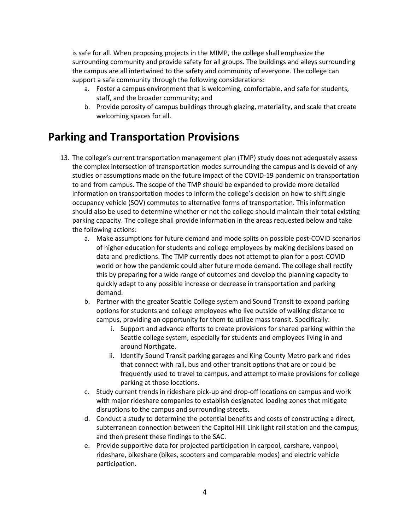is safe for all. When proposing projects in the MIMP, the college shall emphasize the surrounding community and provide safety for all groups. The buildings and alleys surrounding the campus are all intertwined to the safety and community of everyone. The college can support a safe community through the following considerations:

- a. Foster a campus environment that is welcoming, comfortable, and safe for students, staff, and the broader community; and
- b. Provide porosity of campus buildings through glazing, materiality, and scale that create welcoming spaces for all.

#### **Parking and Transportation Provisions**

- 13. The college's current transportation management plan (TMP) study does not adequately assess the complex intersection of transportation modes surrounding the campus and is devoid of any studies or assumptions made on the future impact of the COVID-19 pandemic on transportation to and from campus. The scope of the TMP should be expanded to provide more detailed information on transportation modes to inform the college's decision on how to shift single occupancy vehicle (SOV) commutes to alternative forms of transportation. This information should also be used to determine whether or not the college should maintain their total existing parking capacity. The college shall provide information in the areas requested below and take the following actions:
	- a. Make assumptions for future demand and mode splits on possible post-COVID scenarios of higher education for students and college employees by making decisions based on data and predictions. The TMP currently does not attempt to plan for a post-COVID world or how the pandemic could alter future mode demand. The college shall rectify this by preparing for a wide range of outcomes and develop the planning capacity to quickly adapt to any possible increase or decrease in transportation and parking demand.
	- b. Partner with the greater Seattle College system and Sound Transit to expand parking options for students and college employees who live outside of walking distance to campus, providing an opportunity for them to utilize mass transit. Specifically:
		- i. Support and advance efforts to create provisions for shared parking within the Seattle college system, especially for students and employees living in and around Northgate.
		- ii. Identify Sound Transit parking garages and King County Metro park and rides that connect with rail, bus and other transit options that are or could be frequently used to travel to campus, and attempt to make provisions for college parking at those locations.
	- c. Study current trends in rideshare pick-up and drop-off locations on campus and work with major rideshare companies to establish designated loading zones that mitigate disruptions to the campus and surrounding streets.
	- d. Conduct a study to determine the potential benefits and costs of constructing a direct, subterranean connection between the Capitol Hill Link light rail station and the campus, and then present these findings to the SAC.
	- e. Provide supportive data for projected participation in carpool, carshare, vanpool, rideshare, bikeshare (bikes, scooters and comparable modes) and electric vehicle participation.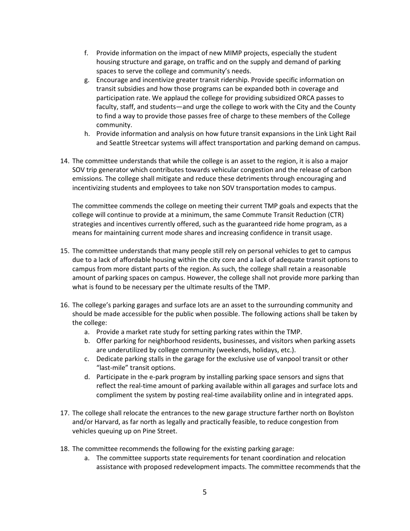- f. Provide information on the impact of new MIMP projects, especially the student housing structure and garage, on traffic and on the supply and demand of parking spaces to serve the college and community's needs.
- g. Encourage and incentivize greater transit ridership. Provide specific information on transit subsidies and how those programs can be expanded both in coverage and participation rate. We applaud the college for providing subsidized ORCA passes to faculty, staff, and students—and urge the college to work with the City and the County to find a way to provide those passes free of charge to these members of the College community.
- h. Provide information and analysis on how future transit expansions in the Link Light Rail and Seattle Streetcar systems will affect transportation and parking demand on campus.
- 14. The committee understands that while the college is an asset to the region, it is also a major SOV trip generator which contributes towards vehicular congestion and the release of carbon emissions. The college shall mitigate and reduce these detriments through encouraging and incentivizing students and employees to take non SOV transportation modes to campus.

The committee commends the college on meeting their current TMP goals and expects that the college will continue to provide at a minimum, the same Commute Transit Reduction (CTR) strategies and incentives currently offered, such as the guaranteed ride home program, as a means for maintaining current mode shares and increasing confidence in transit usage.

- 15. The committee understands that many people still rely on personal vehicles to get to campus due to a lack of affordable housing within the city core and a lack of adequate transit options to campus from more distant parts of the region. As such, the college shall retain a reasonable amount of parking spaces on campus. However, the college shall not provide more parking than what is found to be necessary per the ultimate results of the TMP.
- 16. The college's parking garages and surface lots are an asset to the surrounding community and should be made accessible for the public when possible. The following actions shall be taken by the college:
	- a. Provide a market rate study for setting parking rates within the TMP.
	- b. Offer parking for neighborhood residents, businesses, and visitors when parking assets are underutilized by college community (weekends, holidays, etc.).
	- c. Dedicate parking stalls in the garage for the exclusive use of vanpool transit or other "last-mile" transit options.
	- d. Participate in the e-park program by installing parking space sensors and signs that reflect the real-time amount of parking available within all garages and surface lots and compliment the system by posting real-time availability online and in integrated apps.
- 17. The college shall relocate the entrances to the new garage structure farther north on Boylston and/or Harvard, as far north as legally and practically feasible, to reduce congestion from vehicles queuing up on Pine Street.
- 18. The committee recommends the following for the existing parking garage:
	- a. The committee supports state requirements for tenant coordination and relocation assistance with proposed redevelopment impacts. The committee recommends that the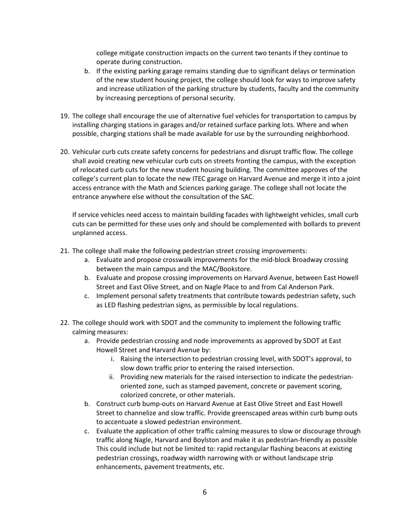college mitigate construction impacts on the current two tenants if they continue to operate during construction.

- b. If the existing parking garage remains standing due to significant delays or termination of the new student housing project, the college should look for ways to improve safety and increase utilization of the parking structure by students, faculty and the community by increasing perceptions of personal security.
- 19. The college shall encourage the use of alternative fuel vehicles for transportation to campus by installing charging stations in garages and/or retained surface parking lots. Where and when possible, charging stations shall be made available for use by the surrounding neighborhood.
- 20. Vehicular curb cuts create safety concerns for pedestrians and disrupt traffic flow. The college shall avoid creating new vehicular curb cuts on streets fronting the campus, with the exception of relocated curb cuts for the new student housing building. The committee approves of the college's current plan to locate the new ITEC garage on Harvard Avenue and merge it into a joint access entrance with the Math and Sciences parking garage. The college shall not locate the entrance anywhere else without the consultation of the SAC.

If service vehicles need access to maintain building facades with lightweight vehicles, small curb cuts can be permitted for these uses only and should be complemented with bollards to prevent unplanned access.

- 21. The college shall make the following pedestrian street crossing improvements:
	- a. Evaluate and propose crosswalk improvements for the mid-block Broadway crossing between the main campus and the MAC/Bookstore.
	- b. Evaluate and propose crossing improvements on Harvard Avenue, between East Howell Street and East Olive Street, and on Nagle Place to and from Cal Anderson Park.
	- c. Implement personal safety treatments that contribute towards pedestrian safety, such as LED flashing pedestrian signs, as permissible by local regulations.
- 22. The college should work with SDOT and the community to implement the following traffic calming measures:
	- a. Provide pedestrian crossing and node improvements as approved by SDOT at East Howell Street and Harvard Avenue by:
		- i. Raising the intersection to pedestrian crossing level, with SDOT's approval, to slow down traffic prior to entering the raised intersection.
		- ii. Providing new materials for the raised intersection to indicate the pedestrianoriented zone, such as stamped pavement, concrete or pavement scoring, colorized concrete, or other materials.
	- b. Construct curb bump-outs on Harvard Avenue at East Olive Street and East Howell Street to channelize and slow traffic. Provide greenscaped areas within curb bump outs to accentuate a slowed pedestrian environment.
	- c. Evaluate the application of other traffic calming measures to slow or discourage through traffic along Nagle, Harvard and Boylston and make it as pedestrian-friendly as possible This could include but not be limited to: rapid rectangular flashing beacons at existing pedestrian crossings, roadway width narrowing with or without landscape strip enhancements, pavement treatments, etc.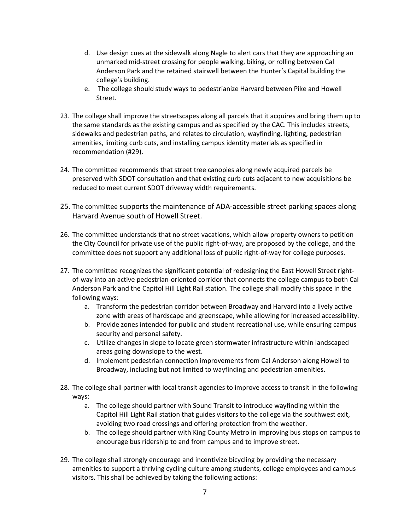- d. Use design cues at the sidewalk along Nagle to alert cars that they are approaching an unmarked mid-street crossing for people walking, biking, or rolling between Cal Anderson Park and the retained stairwell between the Hunter's Capital building the college's building.
- e. The college should study ways to pedestrianize Harvard between Pike and Howell Street.
- 23. The college shall improve the streetscapes along all parcels that it acquires and bring them up to the same standards as the existing campus and as specified by the CAC. This includes streets, sidewalks and pedestrian paths, and relates to circulation, wayfinding, lighting, pedestrian amenities, limiting curb cuts, and installing campus identity materials as specified in recommendation (#29).
- 24. The committee recommends that street tree canopies along newly acquired parcels be preserved with SDOT consultation and that existing curb cuts adjacent to new acquisitions be reduced to meet current SDOT driveway width requirements.
- 25. The committee supports the maintenance of ADA-accessible street parking spaces along Harvard Avenue south of Howell Street.
- 26. The committee understands that no street vacations, which allow property owners to petition the City Council for private use of the public right-of-way, are proposed by the college, and the committee does not support any additional loss of public right-of-way for college purposes.
- 27. The committee recognizes the significant potential of redesigning the East Howell Street rightof-way into an active pedestrian-oriented corridor that connects the college campus to both Cal Anderson Park and the Capitol Hill Light Rail station. The college shall modify this space in the following ways:
	- a. Transform the pedestrian corridor between Broadway and Harvard into a lively active zone with areas of hardscape and greenscape, while allowing for increased accessibility.
	- b. Provide zones intended for public and student recreational use, while ensuring campus security and personal safety.
	- c. Utilize changes in slope to locate green stormwater infrastructure within landscaped areas going downslope to the west.
	- d. Implement pedestrian connection improvements from Cal Anderson along Howell to Broadway, including but not limited to wayfinding and pedestrian amenities.
- 28. The college shall partner with local transit agencies to improve access to transit in the following ways:
	- a. The college should partner with Sound Transit to introduce wayfinding within the Capitol Hill Light Rail station that guides visitors to the college via the southwest exit, avoiding two road crossings and offering protection from the weather.
	- b. The college should partner with King County Metro in improving bus stops on campus to encourage bus ridership to and from campus and to improve street.
- 29. The college shall strongly encourage and incentivize bicycling by providing the necessary amenities to support a thriving cycling culture among students, college employees and campus visitors. This shall be achieved by taking the following actions: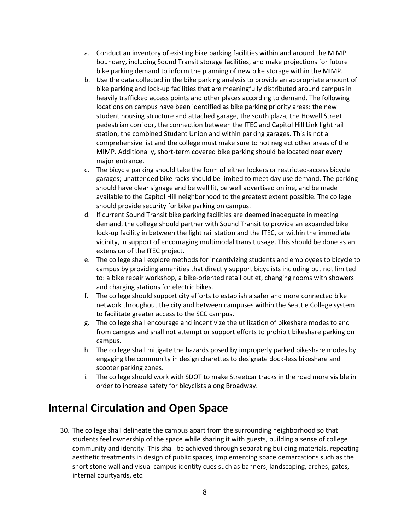- a. Conduct an inventory of existing bike parking facilities within and around the MIMP boundary, including Sound Transit storage facilities, and make projections for future bike parking demand to inform the planning of new bike storage within the MIMP.
- b. Use the data collected in the bike parking analysis to provide an appropriate amount of bike parking and lock-up facilities that are meaningfully distributed around campus in heavily trafficked access points and other places according to demand. The following locations on campus have been identified as bike parking priority areas: the new student housing structure and attached garage, the south plaza, the Howell Street pedestrian corridor, the connection between the ITEC and Capitol Hill Link light rail station, the combined Student Union and within parking garages. This is not a comprehensive list and the college must make sure to not neglect other areas of the MIMP. Additionally, short-term covered bike parking should be located near every major entrance.
- c. The bicycle parking should take the form of either lockers or restricted-access bicycle garages; unattended bike racks should be limited to meet day use demand. The parking should have clear signage and be well lit, be well advertised online, and be made available to the Capitol Hill neighborhood to the greatest extent possible. The college should provide security for bike parking on campus.
- d. If current Sound Transit bike parking facilities are deemed inadequate in meeting demand, the college should partner with Sound Transit to provide an expanded bike lock-up facility in between the light rail station and the ITEC, or within the immediate vicinity, in support of encouraging multimodal transit usage. This should be done as an extension of the ITEC project.
- e. The college shall explore methods for incentivizing students and employees to bicycle to campus by providing amenities that directly support bicyclists including but not limited to: a bike repair workshop, a bike-oriented retail outlet, changing rooms with showers and charging stations for electric bikes.
- f. The college should support city efforts to establish a safer and more connected bike network throughout the city and between campuses within the Seattle College system to facilitate greater access to the SCC campus.
- g. The college shall encourage and incentivize the utilization of bikeshare modes to and from campus and shall not attempt or support efforts to prohibit bikeshare parking on campus.
- h. The college shall mitigate the hazards posed by improperly parked bikeshare modes by engaging the community in design charettes to designate dock-less bikeshare and scooter parking zones.
- i. The college should work with SDOT to make Streetcar tracks in the road more visible in order to increase safety for bicyclists along Broadway.

## **Internal Circulation and Open Space**

30. The college shall delineate the campus apart from the surrounding neighborhood so that students feel ownership of the space while sharing it with guests, building a sense of college community and identity. This shall be achieved through separating building materials, repeating aesthetic treatments in design of public spaces, implementing space demarcations such as the short stone wall and visual campus identity cues such as banners, landscaping, arches, gates, internal courtyards, etc.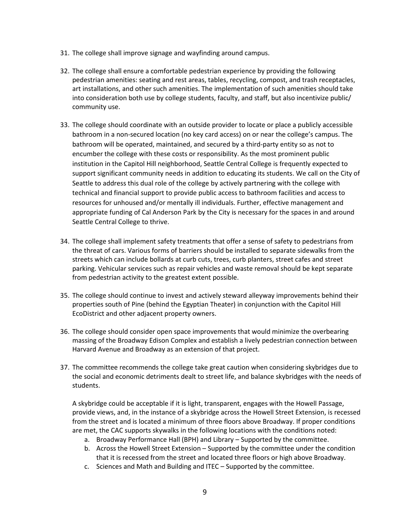- 31. The college shall improve signage and wayfinding around campus.
- 32. The college shall ensure a comfortable pedestrian experience by providing the following pedestrian amenities: seating and rest areas, tables, recycling, compost, and trash receptacles, art installations, and other such amenities. The implementation of such amenities should take into consideration both use by college students, faculty, and staff, but also incentivize public/ community use.
- 33. The college should coordinate with an outside provider to locate or place a publicly accessible bathroom in a non-secured location (no key card access) on or near the college's campus. The bathroom will be operated, maintained, and secured by a third-party entity so as not to encumber the college with these costs or responsibility. As the most prominent public institution in the Capitol Hill neighborhood, Seattle Central College is frequently expected to support significant community needs in addition to educating its students. We call on the City of Seattle to address this dual role of the college by actively partnering with the college with technical and financial support to provide public access to bathroom facilities and access to resources for unhoused and/or mentally ill individuals. Further, effective management and appropriate funding of Cal Anderson Park by the City is necessary for the spaces in and around Seattle Central College to thrive.
- 34. The college shall implement safety treatments that offer a sense of safety to pedestrians from the threat of cars. Various forms of barriers should be installed to separate sidewalks from the streets which can include bollards at curb cuts, trees, curb planters, street cafes and street parking. Vehicular services such as repair vehicles and waste removal should be kept separate from pedestrian activity to the greatest extent possible.
- 35. The college should continue to invest and actively steward alleyway improvements behind their properties south of Pine (behind the Egyptian Theater) in conjunction with the Capitol Hill EcoDistrict and other adjacent property owners.
- 36. The college should consider open space improvements that would minimize the overbearing massing of the Broadway Edison Complex and establish a lively pedestrian connection between Harvard Avenue and Broadway as an extension of that project.
- 37. The committee recommends the college take great caution when considering skybridges due to the social and economic detriments dealt to street life, and balance skybridges with the needs of students.

A skybridge could be acceptable if it is light, transparent, engages with the Howell Passage, provide views, and, in the instance of a skybridge across the Howell Street Extension, is recessed from the street and is located a minimum of three floors above Broadway. If proper conditions are met, the CAC supports skywalks in the following locations with the conditions noted:

- a. Broadway Performance Hall (BPH) and Library Supported by the committee.
- b. Across the Howell Street Extension Supported by the committee under the condition that it is recessed from the street and located three floors or high above Broadway.
- c. Sciences and Math and Building and ITEC Supported by the committee.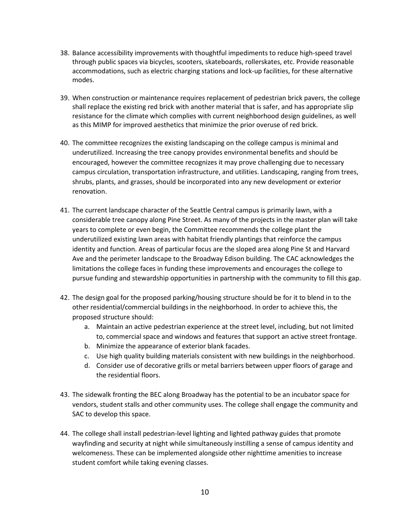- 38. Balance accessibility improvements with thoughtful impediments to reduce high-speed travel through public spaces via bicycles, scooters, skateboards, rollerskates, etc. Provide reasonable accommodations, such as electric charging stations and lock-up facilities, for these alternative modes.
- 39. When construction or maintenance requires replacement of pedestrian brick pavers, the college shall replace the existing red brick with another material that is safer, and has appropriate slip resistance for the climate which complies with current neighborhood design guidelines, as well as this MIMP for improved aesthetics that minimize the prior overuse of red brick.
- 40. The committee recognizes the existing landscaping on the college campus is minimal and underutilized. Increasing the tree canopy provides environmental benefits and should be encouraged, however the committee recognizes it may prove challenging due to necessary campus circulation, transportation infrastructure, and utilities. Landscaping, ranging from trees, shrubs, plants, and grasses, should be incorporated into any new development or exterior renovation.
- 41. The current landscape character of the Seattle Central campus is primarily lawn, with a considerable tree canopy along Pine Street. As many of the projects in the master plan will take years to complete or even begin, the Committee recommends the college plant the underutilized existing lawn areas with habitat friendly plantings that reinforce the campus identity and function. Areas of particular focus are the sloped area along Pine St and Harvard Ave and the perimeter landscape to the Broadway Edison building. The CAC acknowledges the limitations the college faces in funding these improvements and encourages the college to pursue funding and stewardship opportunities in partnership with the community to fill this gap.
- 42. The design goal for the proposed parking/housing structure should be for it to blend in to the other residential/commercial buildings in the neighborhood. In order to achieve this, the proposed structure should:
	- a. Maintain an active pedestrian experience at the street level, including, but not limited to, commercial space and windows and features that support an active street frontage.
	- b. Minimize the appearance of exterior blank facades.
	- c. Use high quality building materials consistent with new buildings in the neighborhood.
	- d. Consider use of decorative grills or metal barriers between upper floors of garage and the residential floors.
- 43. The sidewalk fronting the BEC along Broadway has the potential to be an incubator space for vendors, student stalls and other community uses. The college shall engage the community and SAC to develop this space.
- 44. The college shall install pedestrian-level lighting and lighted pathway guides that promote wayfinding and security at night while simultaneously instilling a sense of campus identity and welcomeness. These can be implemented alongside other nighttime amenities to increase student comfort while taking evening classes.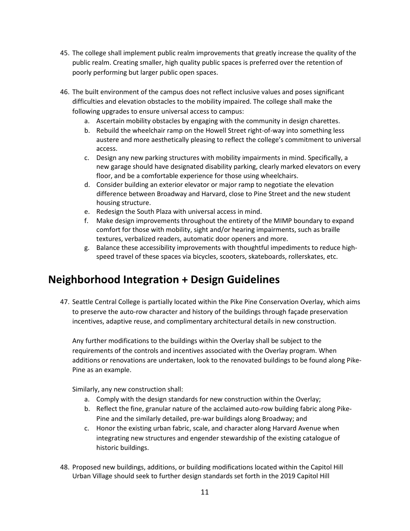- 45. The college shall implement public realm improvements that greatly increase the quality of the public realm. Creating smaller, high quality public spaces is preferred over the retention of poorly performing but larger public open spaces.
- 46. The built environment of the campus does not reflect inclusive values and poses significant difficulties and elevation obstacles to the mobility impaired. The college shall make the following upgrades to ensure universal access to campus:
	- a. Ascertain mobility obstacles by engaging with the community in design charettes.
	- b. Rebuild the wheelchair ramp on the Howell Street right-of-way into something less austere and more aesthetically pleasing to reflect the college's commitment to universal access.
	- c. Design any new parking structures with mobility impairments in mind. Specifically, a new garage should have designated disability parking, clearly marked elevators on every floor, and be a comfortable experience for those using wheelchairs.
	- d. Consider building an exterior elevator or major ramp to negotiate the elevation difference between Broadway and Harvard, close to Pine Street and the new student housing structure.
	- e. Redesign the South Plaza with universal access in mind.
	- f. Make design improvements throughout the entirety of the MIMP boundary to expand comfort for those with mobility, sight and/or hearing impairments, such as braille textures, verbalized readers, automatic door openers and more.
	- g. Balance these accessibility improvements with thoughtful impediments to reduce highspeed travel of these spaces via bicycles, scooters, skateboards, rollerskates, etc.

#### **Neighborhood Integration + Design Guidelines**

47. Seattle Central College is partially located within the Pike Pine Conservation Overlay, which aims to preserve the auto-row character and history of the buildings through façade preservation incentives, adaptive reuse, and complimentary architectural details in new construction.

Any further modifications to the buildings within the Overlay shall be subject to the requirements of the controls and incentives associated with the Overlay program. When additions or renovations are undertaken, look to the renovated buildings to be found along Pike-Pine as an example.

Similarly, any new construction shall:

- a. Comply with the design standards for new construction within the Overlay;
- b. Reflect the fine, granular nature of the acclaimed auto-row building fabric along Pike-Pine and the similarly detailed, pre-war buildings along Broadway; and
- c. Honor the existing urban fabric, scale, and character along Harvard Avenue when integrating new structures and engender stewardship of the existing catalogue of historic buildings.
- 48. Proposed new buildings, additions, or building modifications located within the Capitol Hill Urban Village should seek to further design standards set forth in the 2019 Capitol Hill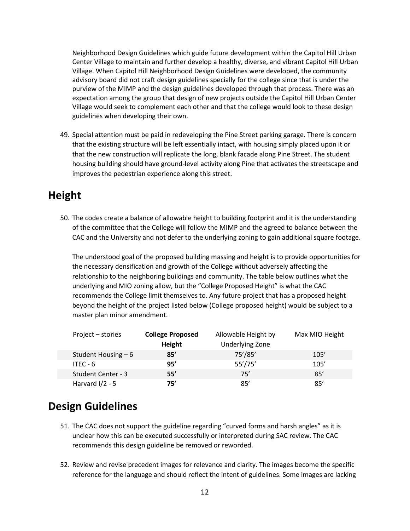Neighborhood Design Guidelines which guide future development within the Capitol Hill Urban Center Village to maintain and further develop a healthy, diverse, and vibrant Capitol Hill Urban Village. When Capitol Hill Neighborhood Design Guidelines were developed, the community advisory board did not craft design guidelines specially for the college since that is under the purview of the MIMP and the design guidelines developed through that process. There was an expectation among the group that design of new projects outside the Capitol Hill Urban Center Village would seek to complement each other and that the college would look to these design guidelines when developing their own.

49. Special attention must be paid in redeveloping the Pine Street parking garage. There is concern that the existing structure will be left essentially intact, with housing simply placed upon it or that the new construction will replicate the long, blank facade along Pine Street. The student housing building should have ground-level activity along Pine that activates the streetscape and improves the pedestrian experience along this street.

#### **Height**

50. The codes create a balance of allowable height to building footprint and it is the understanding of the committee that the College will follow the MIMP and the agreed to balance between the CAC and the University and not defer to the underlying zoning to gain additional square footage.

The understood goal of the proposed building massing and height is to provide opportunities for the necessary densification and growth of the College without adversely affecting the relationship to the neighboring buildings and community. The table below outlines what the underlying and MIO zoning allow, but the "College Proposed Height" is what the CAC recommends the College limit themselves to. Any future project that has a proposed height beyond the height of the project listed below (College proposed height) would be subject to a master plan minor amendment.

| Project – stories    | <b>College Proposed</b><br>Height | Allowable Height by<br><b>Underlying Zone</b> | Max MIO Height |
|----------------------|-----------------------------------|-----------------------------------------------|----------------|
| Student Housing $-6$ | 85'                               | 75'/85'                                       | 105'           |
| ITEC - $6$           | 95'                               | 55'/75'                                       | 105'           |
| Student Center - 3   | 55'                               | 75'                                           | 85'            |
| Harvard $1/2 - 5$    | 75'                               | 85'                                           | 85'            |

## **Design Guidelines**

- 51. The CAC does not support the guideline regarding "curved forms and harsh angles" as it is unclear how this can be executed successfully or interpreted during SAC review. The CAC recommends this design guideline be removed or reworded.
- 52. Review and revise precedent images for relevance and clarity. The images become the specific reference for the language and should reflect the intent of guidelines. Some images are lacking